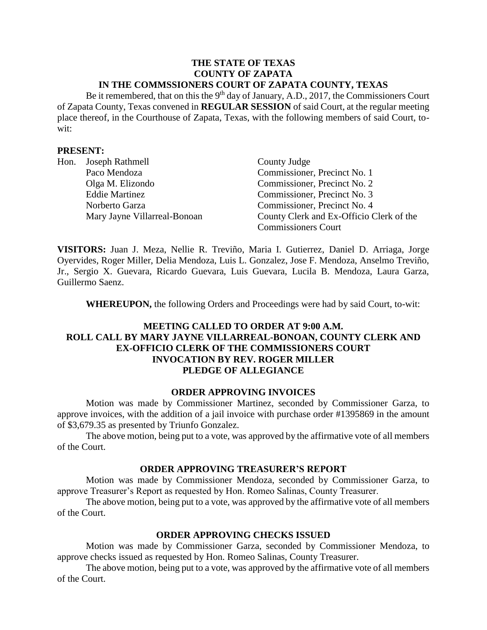#### **THE STATE OF TEXAS COUNTY OF ZAPATA IN THE COMMSSIONERS COURT OF ZAPATA COUNTY, TEXAS**

Be it remembered, that on this the  $9<sup>th</sup>$  day of January, A.D., 2017, the Commissioners Court of Zapata County, Texas convened in **REGULAR SESSION** of said Court, at the regular meeting place thereof, in the Courthouse of Zapata, Texas, with the following members of said Court, towit:

#### **PRESENT:**

| Hon. | Joseph Rathmell              | County Judge                             |
|------|------------------------------|------------------------------------------|
|      | Paco Mendoza                 | Commissioner, Precinct No. 1             |
|      | Olga M. Elizondo             | Commissioner, Precinct No. 2             |
|      | <b>Eddie Martinez</b>        | Commissioner, Precinct No. 3             |
|      | Norberto Garza               | Commissioner, Precinct No. 4             |
|      | Mary Jayne Villarreal-Bonoan | County Clerk and Ex-Officio Clerk of the |
|      |                              | <b>Commissioners Court</b>               |

**VISITORS:** Juan J. Meza, Nellie R. Treviño, Maria I. Gutierrez, Daniel D. Arriaga, Jorge Oyervides, Roger Miller, Delia Mendoza, Luis L. Gonzalez, Jose F. Mendoza, Anselmo Treviño, Jr., Sergio X. Guevara, Ricardo Guevara, Luis Guevara, Lucila B. Mendoza, Laura Garza, Guillermo Saenz.

**WHEREUPON,** the following Orders and Proceedings were had by said Court, to-wit:

# **MEETING CALLED TO ORDER AT 9:00 A.M. ROLL CALL BY MARY JAYNE VILLARREAL-BONOAN, COUNTY CLERK AND EX-OFFICIO CLERK OF THE COMMISSIONERS COURT INVOCATION BY REV. ROGER MILLER PLEDGE OF ALLEGIANCE**

#### **ORDER APPROVING INVOICES**

Motion was made by Commissioner Martinez, seconded by Commissioner Garza, to approve invoices, with the addition of a jail invoice with purchase order #1395869 in the amount of \$3,679.35 as presented by Triunfo Gonzalez.

The above motion, being put to a vote, was approved by the affirmative vote of all members of the Court.

#### **ORDER APPROVING TREASURER'S REPORT**

Motion was made by Commissioner Mendoza, seconded by Commissioner Garza, to approve Treasurer's Report as requested by Hon. Romeo Salinas, County Treasurer.

The above motion, being put to a vote, was approved by the affirmative vote of all members of the Court.

#### **ORDER APPROVING CHECKS ISSUED**

Motion was made by Commissioner Garza, seconded by Commissioner Mendoza, to approve checks issued as requested by Hon. Romeo Salinas, County Treasurer.

The above motion, being put to a vote, was approved by the affirmative vote of all members of the Court.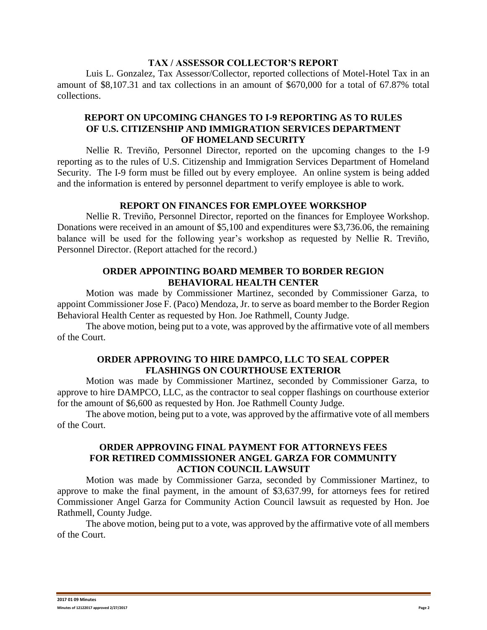#### **TAX / ASSESSOR COLLECTOR'S REPORT**

Luis L. Gonzalez, Tax Assessor/Collector, reported collections of Motel-Hotel Tax in an amount of \$8,107.31 and tax collections in an amount of \$670,000 for a total of 67.87% total collections.

## **REPORT ON UPCOMING CHANGES TO I-9 REPORTING AS TO RULES OF U.S. CITIZENSHIP AND IMMIGRATION SERVICES DEPARTMENT OF HOMELAND SECURITY**

Nellie R. Treviño, Personnel Director, reported on the upcoming changes to the I-9 reporting as to the rules of U.S. Citizenship and Immigration Services Department of Homeland Security. The I-9 form must be filled out by every employee. An online system is being added and the information is entered by personnel department to verify employee is able to work.

### **REPORT ON FINANCES FOR EMPLOYEE WORKSHOP**

Nellie R. Treviño, Personnel Director, reported on the finances for Employee Workshop. Donations were received in an amount of \$5,100 and expenditures were \$3,736.06, the remaining balance will be used for the following year's workshop as requested by Nellie R. Treviño, Personnel Director. (Report attached for the record.)

## **ORDER APPOINTING BOARD MEMBER TO BORDER REGION BEHAVIORAL HEALTH CENTER**

Motion was made by Commissioner Martinez, seconded by Commissioner Garza, to appoint Commissioner Jose F. (Paco) Mendoza, Jr. to serve as board member to the Border Region Behavioral Health Center as requested by Hon. Joe Rathmell, County Judge.

The above motion, being put to a vote, was approved by the affirmative vote of all members of the Court.

## **ORDER APPROVING TO HIRE DAMPCO, LLC TO SEAL COPPER FLASHINGS ON COURTHOUSE EXTERIOR**

Motion was made by Commissioner Martinez, seconded by Commissioner Garza, to approve to hire DAMPCO, LLC, as the contractor to seal copper flashings on courthouse exterior for the amount of \$6,600 as requested by Hon. Joe Rathmell County Judge.

The above motion, being put to a vote, was approved by the affirmative vote of all members of the Court.

## **ORDER APPROVING FINAL PAYMENT FOR ATTORNEYS FEES FOR RETIRED COMMISSIONER ANGEL GARZA FOR COMMUNITY ACTION COUNCIL LAWSUIT**

Motion was made by Commissioner Garza, seconded by Commissioner Martinez, to approve to make the final payment, in the amount of \$3,637.99, for attorneys fees for retired Commissioner Angel Garza for Community Action Council lawsuit as requested by Hon. Joe Rathmell, County Judge.

The above motion, being put to a vote, was approved by the affirmative vote of all members of the Court.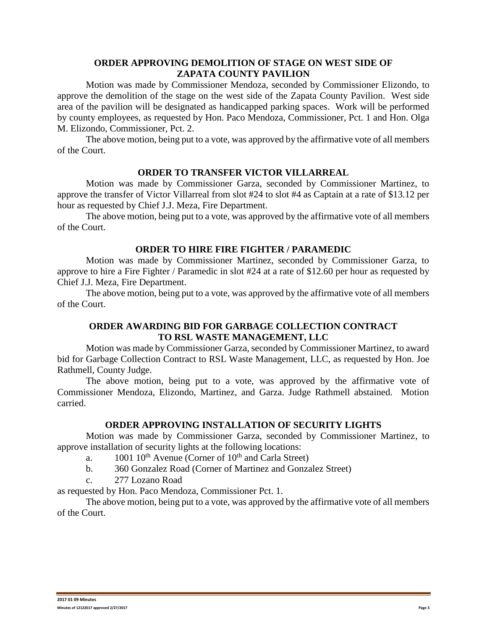## **ORDER APPROVING DEMOLITION OF STAGE ON WEST SIDE OF ZAPATA COUNTY PAVILION**

Motion was made by Commissioner Mendoza, seconded by Commissioner Elizondo, to approve the demolition of the stage on the west side of the Zapata County Pavilion. West side area of the pavilion will be designated as handicapped parking spaces. Work will be performed by county employees, as requested by Hon. Paco Mendoza, Commissioner, Pct. 1 and Hon. Olga M. Elizondo, Commissioner, Pct. 2.

The above motion, being put to a vote, was approved by the affirmative vote of all members of the Court.

### **ORDER TO TRANSFER VICTOR VILLARREAL**

Motion was made by Commissioner Garza, seconded by Commissioner Martinez, to approve the transfer of Victor Villarreal from slot #24 to slot #4 as Captain at a rate of \$13.12 per hour as requested by Chief J.J. Meza, Fire Department.

The above motion, being put to a vote, was approved by the affirmative vote of all members of the Court.

## **ORDER TO HIRE FIRE FIGHTER / PARAMEDIC**

Motion was made by Commissioner Martinez, seconded by Commissioner Garza, to approve to hire a Fire Fighter / Paramedic in slot #24 at a rate of \$12.60 per hour as requested by Chief J.J. Meza, Fire Department.

The above motion, being put to a vote, was approved by the affirmative vote of all members of the Court.

# **ORDER AWARDING BID FOR GARBAGE COLLECTION CONTRACT TO RSL WASTE MANAGEMENT, LLC**

Motion was made by Commissioner Garza, seconded by Commissioner Martinez, to award bid for Garbage Collection Contract to RSL Waste Management, LLC, as requested by Hon. Joe Rathmell, County Judge.

The above motion, being put to a vote, was approved by the affirmative vote of Commissioner Mendoza, Elizondo, Martinez, and Garza. Judge Rathmell abstained. Motion carried.

### **ORDER APPROVING INSTALLATION OF SECURITY LIGHTS**

Motion was made by Commissioner Garza, seconded by Commissioner Martinez, to approve installation of security lights at the following locations:

- a.  $1001 \, 10^{th}$  Avenue (Corner of  $10^{th}$  and Carla Street)
- b. 360 Gonzalez Road (Corner of Martinez and Gonzalez Street)
- c. 277 Lozano Road

as requested by Hon. Paco Mendoza, Commissioner Pct. 1.

The above motion, being put to a vote, was approved by the affirmative vote of all members of the Court.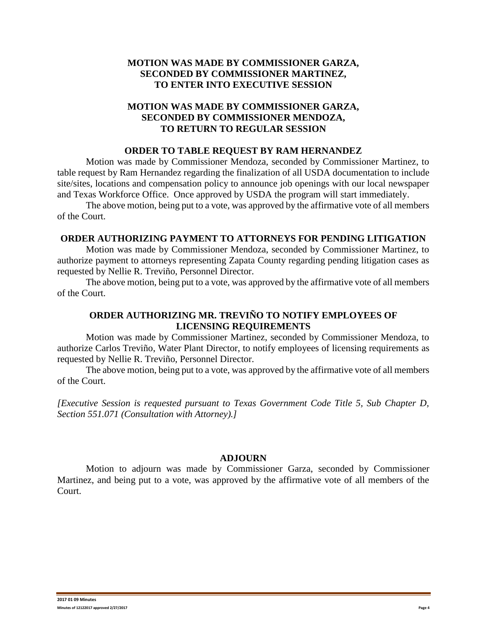# **MOTION WAS MADE BY COMMISSIONER GARZA, SECONDED BY COMMISSIONER MARTINEZ, TO ENTER INTO EXECUTIVE SESSION**

## **MOTION WAS MADE BY COMMISSIONER GARZA, SECONDED BY COMMISSIONER MENDOZA, TO RETURN TO REGULAR SESSION**

#### **ORDER TO TABLE REQUEST BY RAM HERNANDEZ**

Motion was made by Commissioner Mendoza, seconded by Commissioner Martinez, to table request by Ram Hernandez regarding the finalization of all USDA documentation to include site/sites, locations and compensation policy to announce job openings with our local newspaper and Texas Workforce Office. Once approved by USDA the program will start immediately.

The above motion, being put to a vote, was approved by the affirmative vote of all members of the Court.

### **ORDER AUTHORIZING PAYMENT TO ATTORNEYS FOR PENDING LITIGATION**

Motion was made by Commissioner Mendoza, seconded by Commissioner Martinez, to authorize payment to attorneys representing Zapata County regarding pending litigation cases as requested by Nellie R. Treviño, Personnel Director.

The above motion, being put to a vote, was approved by the affirmative vote of all members of the Court.

## **ORDER AUTHORIZING MR. TREVIÑO TO NOTIFY EMPLOYEES OF LICENSING REQUIREMENTS**

Motion was made by Commissioner Martinez, seconded by Commissioner Mendoza, to authorize Carlos Treviño, Water Plant Director, to notify employees of licensing requirements as requested by Nellie R. Treviño, Personnel Director.

The above motion, being put to a vote, was approved by the affirmative vote of all members of the Court.

*[Executive Session is requested pursuant to Texas Government Code Title 5, Sub Chapter D, Section 551.071 (Consultation with Attorney).]*

### **ADJOURN**

Motion to adjourn was made by Commissioner Garza, seconded by Commissioner Martinez, and being put to a vote, was approved by the affirmative vote of all members of the Court.